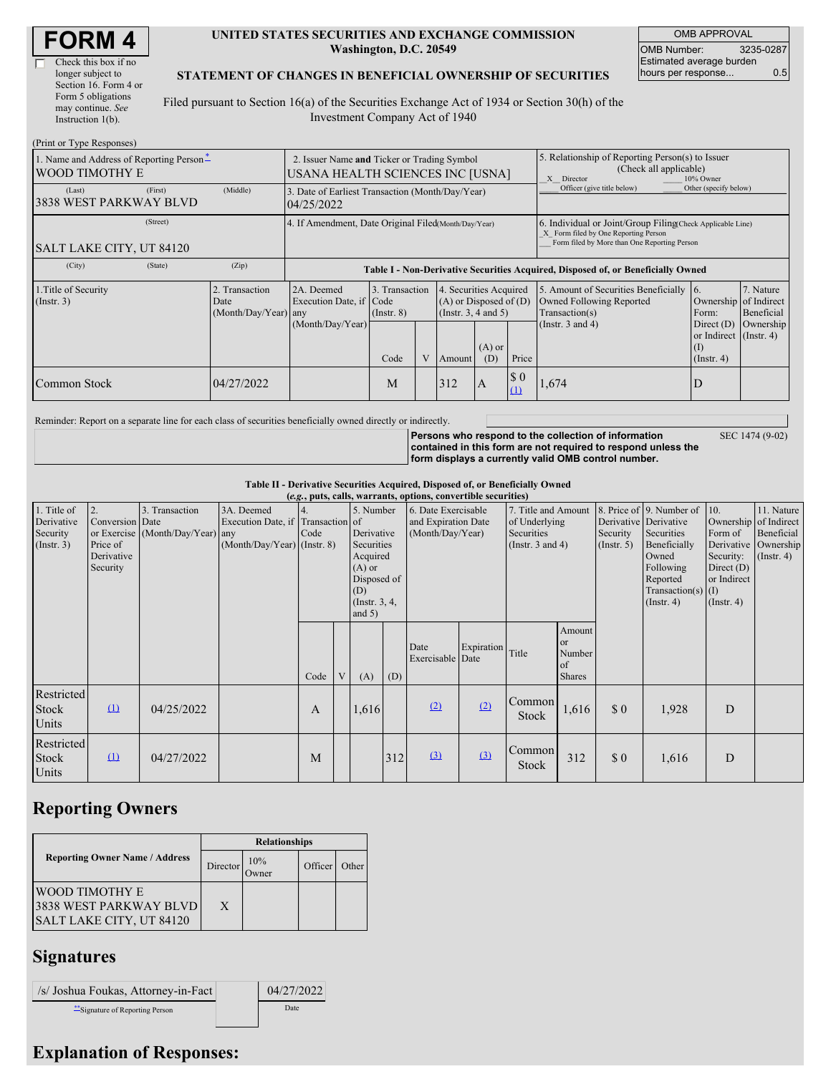| <b>FORM4</b> |  |
|--------------|--|
|--------------|--|

 $\overline{\Gamma}$ 

| Check this box if no  |
|-----------------------|
| longer subject to     |
| Section 16. Form 4 or |
| Form 5 obligations    |
| may continue. See     |
| Instruction $1(b)$ .  |
|                       |

#### **UNITED STATES SECURITIES AND EXCHANGE COMMISSION Washington, D.C. 20549**

OMB APPROVAL OMB Number: 3235-0287 Estimated average burden hours per response... 0.5

SEC 1474 (9-02)

#### **STATEMENT OF CHANGES IN BENEFICIAL OWNERSHIP OF SECURITIES**

Filed pursuant to Section 16(a) of the Securities Exchange Act of 1934 or Section 30(h) of the Investment Company Act of 1940

| (Print or Type Responses)                                  |                                                |                                                                                  |                                                                                 |  |                                                                                   |                                                                                                                                                    |                    |                                                                                                       |                                                                         |                         |  |
|------------------------------------------------------------|------------------------------------------------|----------------------------------------------------------------------------------|---------------------------------------------------------------------------------|--|-----------------------------------------------------------------------------------|----------------------------------------------------------------------------------------------------------------------------------------------------|--------------------|-------------------------------------------------------------------------------------------------------|-------------------------------------------------------------------------|-------------------------|--|
| 1. Name and Address of Reporting Person-<br>WOOD TIMOTHY E |                                                |                                                                                  | 2. Issuer Name and Ticker or Trading Symbol<br>USANA HEALTH SCIENCES INC [USNA] |  |                                                                                   |                                                                                                                                                    |                    | 5. Relationship of Reporting Person(s) to Issuer<br>(Check all applicable)<br>X Director<br>10% Owner |                                                                         |                         |  |
| (First)<br>(Last)<br><b>3838 WEST PARKWAY BLVD</b>         | (Middle)                                       | 3. Date of Earliest Transaction (Month/Day/Year)<br>04/25/2022                   |                                                                                 |  |                                                                                   |                                                                                                                                                    |                    | Officer (give title below)                                                                            | Other (specify below)                                                   |                         |  |
| (Street)<br><b>SALT LAKE CITY, UT 84120</b>                |                                                | 4. If Amendment, Date Original Filed(Month/Day/Year)                             |                                                                                 |  |                                                                                   | 6. Individual or Joint/Group Filing Check Applicable Line)<br>X Form filed by One Reporting Person<br>Form filed by More than One Reporting Person |                    |                                                                                                       |                                                                         |                         |  |
| (City)<br>(State)                                          | (Zip)                                          | Table I - Non-Derivative Securities Acquired, Disposed of, or Beneficially Owned |                                                                                 |  |                                                                                   |                                                                                                                                                    |                    |                                                                                                       |                                                                         |                         |  |
| 1. Title of Security<br>$($ Instr. 3 $)$                   | 2. Transaction<br>Date<br>(Month/Day/Year) any | 2A. Deemed<br>Execution Date, if Code                                            | 3. Transaction<br>$($ Instr. $8)$                                               |  | 4. Securities Acquired<br>$(A)$ or Disposed of $(D)$<br>$($ Instr. 3, 4 and 5 $)$ |                                                                                                                                                    |                    | 5. Amount of Securities Beneficially<br>Owned Following Reported<br>Transaction(s)                    | -16.<br>Ownership of Indirect<br>Form:                                  | 7. Nature<br>Beneficial |  |
|                                                            |                                                | (Month/Day/Year)                                                                 | Code                                                                            |  | Amount                                                                            | $(A)$ or<br>(D)                                                                                                                                    | Price              | (Instr. $3$ and $4$ )                                                                                 | Direct $(D)$<br>or Indirect $($ Instr. 4 $)$<br>(1)<br>$($ Instr. 4 $)$ | Ownership               |  |
| Common Stock                                               | 04/27/2022                                     |                                                                                  | M                                                                               |  | 312                                                                               | IA.                                                                                                                                                | $\sqrt{3}0$<br>(1) | 1,674                                                                                                 | I)                                                                      |                         |  |

Reminder: Report on a separate line for each class of securities beneficially owned directly or indirectly.

**Persons who respond to the collection of information contained in this form are not required to respond unless the form displays a currently valid OMB control number.**

**Table II - Derivative Securities Acquired, Disposed of, or Beneficially Owned**

|                                                      | (e.g., puts, calls, warrants, options, convertible securities) |                                                    |                                                                                  |      |  |                                                                                                                    |     |                                                                |                  |                                                                             |                                               |                                                       |                                                                                                                                      |                                                                                              |                                                                                    |
|------------------------------------------------------|----------------------------------------------------------------|----------------------------------------------------|----------------------------------------------------------------------------------|------|--|--------------------------------------------------------------------------------------------------------------------|-----|----------------------------------------------------------------|------------------|-----------------------------------------------------------------------------|-----------------------------------------------|-------------------------------------------------------|--------------------------------------------------------------------------------------------------------------------------------------|----------------------------------------------------------------------------------------------|------------------------------------------------------------------------------------|
| 1. Title of<br>Derivative<br>Security<br>(Insert. 3) | 2.<br>Conversion Date<br>Price of<br>Derivative<br>Security    | 3. Transaction<br>or Exercise (Month/Day/Year) any | 3A. Deemed<br>Execution Date, if Transaction of<br>$(Month/Day/Year)$ (Instr. 8) | Code |  | 5. Number<br>Derivative<br>Securities<br>Acquired<br>$(A)$ or<br>Disposed of<br>(D)<br>(Instr. $3, 4,$<br>and $5)$ |     | 6. Date Exercisable<br>and Expiration Date<br>(Month/Day/Year) |                  | 7. Title and Amount<br>of Underlying<br>Securities<br>(Instr. $3$ and $4$ ) |                                               | Derivative Derivative<br>Security<br>$($ Instr. 5 $)$ | 8. Price of 9. Number of<br>Securities<br>Beneficially<br>Owned<br>Following<br>Reported<br>Transaction(s) $(I)$<br>$($ Instr. 4 $)$ | 10.<br>Form of<br>Derivative<br>Security:<br>Direct $(D)$<br>or Indirect<br>$($ Instr. 4 $)$ | 11. Nature<br>Ownership of Indirect<br>Beneficial<br>Ownership<br>$($ Instr. 4 $)$ |
|                                                      |                                                                |                                                    |                                                                                  | Code |  | (A)                                                                                                                | (D) | Date<br>Exercisable Date                                       | Expiration Title |                                                                             | Amount<br>or<br>Number<br>of<br><b>Shares</b> |                                                       |                                                                                                                                      |                                                                                              |                                                                                    |
| <b>Restricted</b><br>Stock<br>Units                  | $\Omega$                                                       | 04/25/2022                                         |                                                                                  | A    |  | 1,616                                                                                                              |     | (2)                                                            | (2)              | Common<br>Stock                                                             | 1,616                                         | $\Omega$                                              | 1,928                                                                                                                                | D                                                                                            |                                                                                    |
| Restricted<br>Stock<br>Units                         | $\Omega$                                                       | 04/27/2022                                         |                                                                                  | M    |  |                                                                                                                    | 312 | (3)                                                            | (3)              | Common<br>Stock                                                             | 312                                           | $\boldsymbol{\mathsf{S}}\boldsymbol{\mathsf{0}}$      | 1,616                                                                                                                                | D                                                                                            |                                                                                    |

## **Reporting Owners**

|                                                                             | <b>Relationships</b> |              |         |       |  |  |  |  |
|-----------------------------------------------------------------------------|----------------------|--------------|---------|-------|--|--|--|--|
| <b>Reporting Owner Name / Address</b>                                       | Director             | 10%<br>)wner | Officer | Other |  |  |  |  |
| <b>WOOD TIMOTHY E</b><br>3838 WEST PARKWAY BLVD<br>SALT LAKE CITY, UT 84120 | X                    |              |         |       |  |  |  |  |

## **Signatures**

| /s/ Joshua Foukas, Attorney-in-Fact | 04/27/2022 |
|-------------------------------------|------------|
| Signature of Reporting Person       | Date       |

# **Explanation of Responses:**